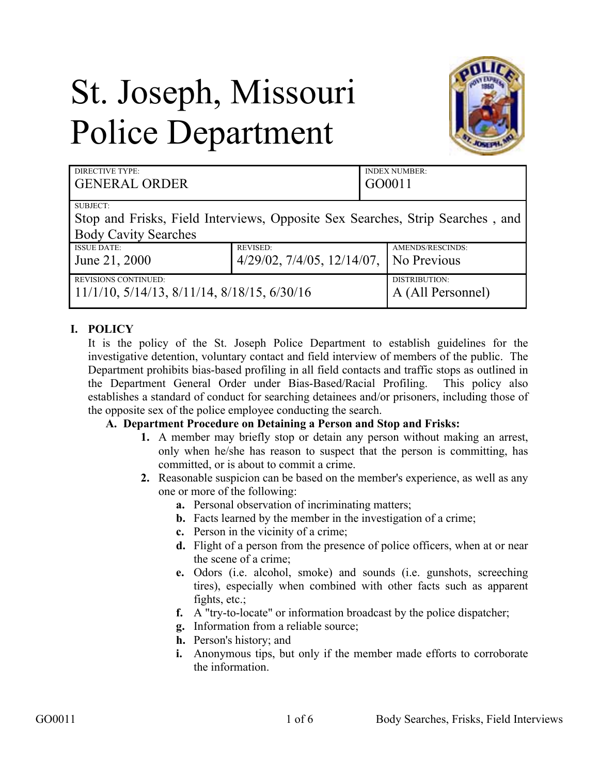# St. Joseph, Missouri Police Department



| <b>DIRECTIVE TYPE:</b><br><b>GENERAL ORDER</b>                                                                                  |                                     | <b>INDEX NUMBER:</b><br>GO0011 |
|---------------------------------------------------------------------------------------------------------------------------------|-------------------------------------|--------------------------------|
| <b>SUBJECT:</b><br>Stop and Frisks, Field Interviews, Opposite Sex Searches, Strip Searches, and<br><b>Body Cavity Searches</b> |                                     |                                |
| <b>ISSUE DATE:</b>                                                                                                              | <b>REVISED:</b>                     | AMENDS/RESCINDS:               |
| June 21, 2000                                                                                                                   | $4/29/02$ , $7/4/05$ , $12/14/07$ , | No Previous                    |
| <b>REVISIONS CONTINUED:</b>                                                                                                     |                                     | DISTRIBUTION:                  |
| $11/1/10$ , $5/14/13$ , $8/11/14$ , $8/18/15$ , $6/30/16$                                                                       |                                     | A (All Personnel)              |

## **I. POLICY**

It is the policy of the St. Joseph Police Department to establish guidelines for the investigative detention, voluntary contact and field interview of members of the public. The Department prohibits bias-based profiling in all field contacts and traffic stops as outlined in the Department General Order under Bias-Based/Racial Profiling. This policy also establishes a standard of conduct for searching detainees and/or prisoners, including those of the opposite sex of the police employee conducting the search.

### **A. Department Procedure on Detaining a Person and Stop and Frisks:**

- **1.** A member may briefly stop or detain any person without making an arrest, only when he/she has reason to suspect that the person is committing, has committed, or is about to commit a crime.
- **2.** Reasonable suspicion can be based on the member's experience, as well as any one or more of the following:
	- **a.** Personal observation of incriminating matters;
	- **b.** Facts learned by the member in the investigation of a crime;
	- **c.** Person in the vicinity of a crime;
	- **d.** Flight of a person from the presence of police officers, when at or near the scene of a crime;
	- **e.** Odors (i.e. alcohol, smoke) and sounds (i.e. gunshots, screeching tires), especially when combined with other facts such as apparent fights, etc.;
	- **f.** A "try-to-locate" or information broadcast by the police dispatcher;
	- **g.** Information from a reliable source;
	- **h.** Person's history; and
	- **i.** Anonymous tips, but only if the member made efforts to corroborate the information.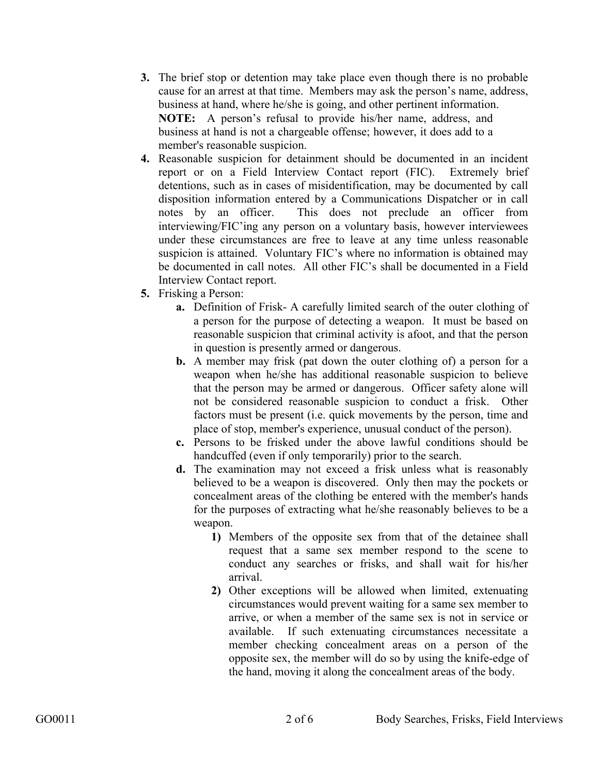- **3.** The brief stop or detention may take place even though there is no probable cause for an arrest at that time. Members may ask the person's name, address, business at hand, where he/she is going, and other pertinent information. **NOTE:** A person's refusal to provide his/her name, address, and business at hand is not a chargeable offense; however, it does add to a member's reasonable suspicion.
- **4.** Reasonable suspicion for detainment should be documented in an incident report or on a Field Interview Contact report (FIC). Extremely brief detentions, such as in cases of misidentification, may be documented by call disposition information entered by a Communications Dispatcher or in call notes by an officer. This does not preclude an officer from interviewing/FIC'ing any person on a voluntary basis, however interviewees under these circumstances are free to leave at any time unless reasonable suspicion is attained. Voluntary FIC's where no information is obtained may be documented in call notes. All other FIC's shall be documented in a Field Interview Contact report.
- **5.** Frisking a Person:
	- **a.** Definition of Frisk- A carefully limited search of the outer clothing of a person for the purpose of detecting a weapon. It must be based on reasonable suspicion that criminal activity is afoot, and that the person in question is presently armed or dangerous.
	- **b.** A member may frisk (pat down the outer clothing of) a person for a weapon when he/she has additional reasonable suspicion to believe that the person may be armed or dangerous. Officer safety alone will not be considered reasonable suspicion to conduct a frisk. Other factors must be present (i.e. quick movements by the person, time and place of stop, member's experience, unusual conduct of the person).
	- **c.** Persons to be frisked under the above lawful conditions should be handcuffed (even if only temporarily) prior to the search.
	- **d.** The examination may not exceed a frisk unless what is reasonably believed to be a weapon is discovered. Only then may the pockets or concealment areas of the clothing be entered with the member's hands for the purposes of extracting what he/she reasonably believes to be a weapon.
		- **1)** Members of the opposite sex from that of the detainee shall request that a same sex member respond to the scene to conduct any searches or frisks, and shall wait for his/her arrival.
		- **2)** Other exceptions will be allowed when limited, extenuating circumstances would prevent waiting for a same sex member to arrive, or when a member of the same sex is not in service or available. If such extenuating circumstances necessitate a member checking concealment areas on a person of the opposite sex, the member will do so by using the knife-edge of the hand, moving it along the concealment areas of the body.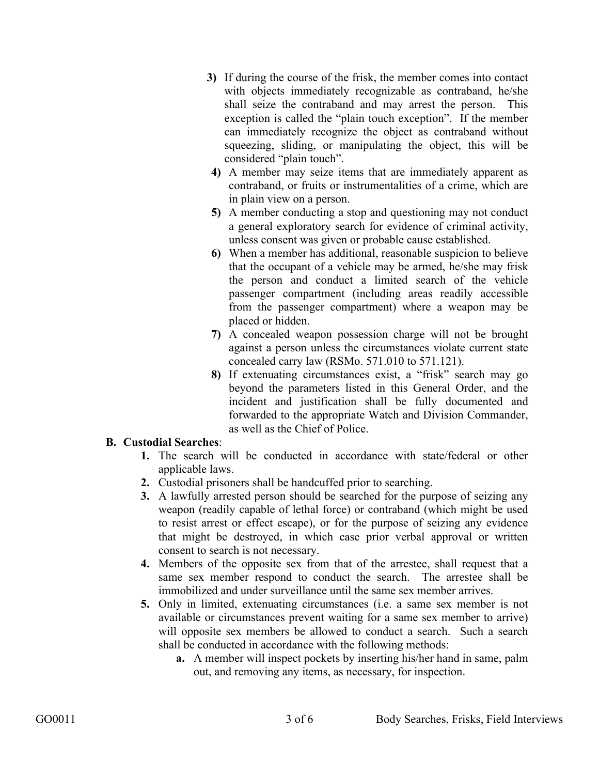- **3)** If during the course of the frisk, the member comes into contact with objects immediately recognizable as contraband, he/she shall seize the contraband and may arrest the person. This exception is called the "plain touch exception". If the member can immediately recognize the object as contraband without squeezing, sliding, or manipulating the object, this will be considered "plain touch".
- **4)** A member may seize items that are immediately apparent as contraband, or fruits or instrumentalities of a crime, which are in plain view on a person.
- **5)** A member conducting a stop and questioning may not conduct a general exploratory search for evidence of criminal activity, unless consent was given or probable cause established.
- **6)** When a member has additional, reasonable suspicion to believe that the occupant of a vehicle may be armed, he/she may frisk the person and conduct a limited search of the vehicle passenger compartment (including areas readily accessible from the passenger compartment) where a weapon may be placed or hidden.
- **7)** A concealed weapon possession charge will not be brought against a person unless the circumstances violate current state concealed carry law (RSMo. 571.010 to 571.121).
- **8)** If extenuating circumstances exist, a "frisk" search may go beyond the parameters listed in this General Order, and the incident and justification shall be fully documented and forwarded to the appropriate Watch and Division Commander, as well as the Chief of Police.

### **B. Custodial Searches**:

- **1.** The search will be conducted in accordance with state/federal or other applicable laws.
- **2.** Custodial prisoners shall be handcuffed prior to searching.
- **3.** A lawfully arrested person should be searched for the purpose of seizing any weapon (readily capable of lethal force) or contraband (which might be used to resist arrest or effect escape), or for the purpose of seizing any evidence that might be destroyed, in which case prior verbal approval or written consent to search is not necessary.
- **4.** Members of the opposite sex from that of the arrestee, shall request that a same sex member respond to conduct the search. The arrestee shall be immobilized and under surveillance until the same sex member arrives.
- **5.** Only in limited, extenuating circumstances (i.e. a same sex member is not available or circumstances prevent waiting for a same sex member to arrive) will opposite sex members be allowed to conduct a search. Such a search shall be conducted in accordance with the following methods:
	- **a.** A member will inspect pockets by inserting his/her hand in same, palm out, and removing any items, as necessary, for inspection.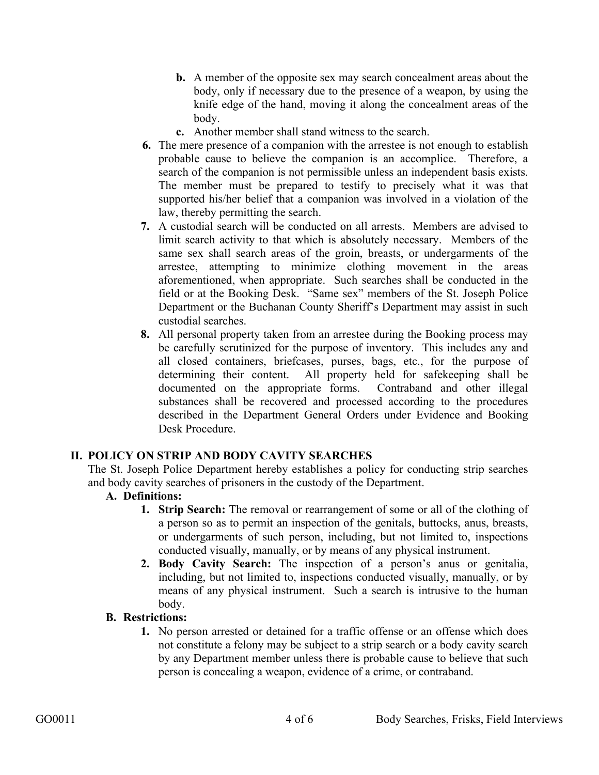- **b.** A member of the opposite sex may search concealment areas about the body, only if necessary due to the presence of a weapon, by using the knife edge of the hand, moving it along the concealment areas of the body.
- **c.** Another member shall stand witness to the search.
- **6.** The mere presence of a companion with the arrestee is not enough to establish probable cause to believe the companion is an accomplice. Therefore, a search of the companion is not permissible unless an independent basis exists. The member must be prepared to testify to precisely what it was that supported his/her belief that a companion was involved in a violation of the law, thereby permitting the search.
- **7.** A custodial search will be conducted on all arrests. Members are advised to limit search activity to that which is absolutely necessary. Members of the same sex shall search areas of the groin, breasts, or undergarments of the arrestee, attempting to minimize clothing movement in the areas aforementioned, when appropriate. Such searches shall be conducted in the field or at the Booking Desk. "Same sex" members of the St. Joseph Police Department or the Buchanan County Sheriff's Department may assist in such custodial searches.
- **8.** All personal property taken from an arrestee during the Booking process may be carefully scrutinized for the purpose of inventory. This includes any and all closed containers, briefcases, purses, bags, etc., for the purpose of determining their content. All property held for safekeeping shall be documented on the appropriate forms. Contraband and other illegal substances shall be recovered and processed according to the procedures described in the Department General Orders under Evidence and Booking Desk Procedure.

### **II. POLICY ON STRIP AND BODY CAVITY SEARCHES**

The St. Joseph Police Department hereby establishes a policy for conducting strip searches and body cavity searches of prisoners in the custody of the Department.

### **A. Definitions:**

- **1. Strip Search:** The removal or rearrangement of some or all of the clothing of a person so as to permit an inspection of the genitals, buttocks, anus, breasts, or undergarments of such person, including, but not limited to, inspections conducted visually, manually, or by means of any physical instrument.
- **2. Body Cavity Search:** The inspection of a person's anus or genitalia, including, but not limited to, inspections conducted visually, manually, or by means of any physical instrument. Such a search is intrusive to the human body.

### **B. Restrictions:**

**1.** No person arrested or detained for a traffic offense or an offense which does not constitute a felony may be subject to a strip search or a body cavity search by any Department member unless there is probable cause to believe that such person is concealing a weapon, evidence of a crime, or contraband.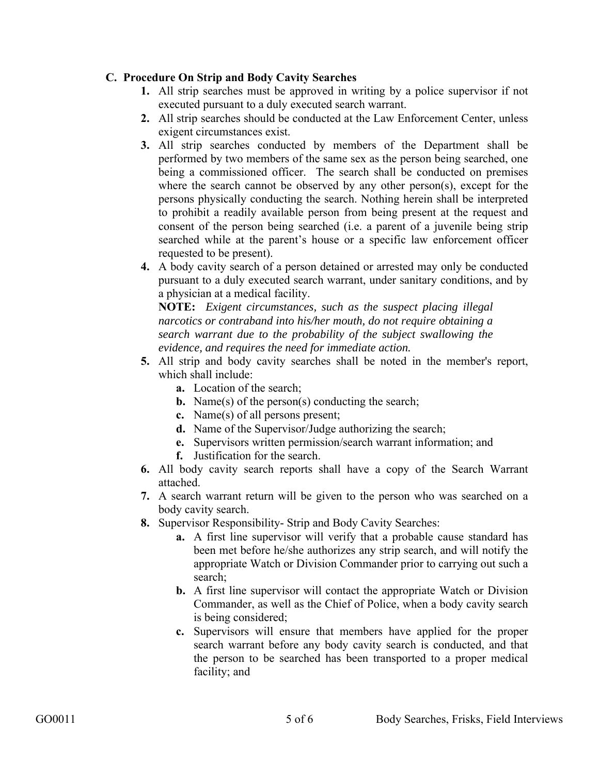### **C. Procedure On Strip and Body Cavity Searches**

- **1.** All strip searches must be approved in writing by a police supervisor if not executed pursuant to a duly executed search warrant.
- **2.** All strip searches should be conducted at the Law Enforcement Center, unless exigent circumstances exist.
- **3.** All strip searches conducted by members of the Department shall be performed by two members of the same sex as the person being searched, one being a commissioned officer. The search shall be conducted on premises where the search cannot be observed by any other person(s), except for the persons physically conducting the search. Nothing herein shall be interpreted to prohibit a readily available person from being present at the request and consent of the person being searched (i.e. a parent of a juvenile being strip searched while at the parent's house or a specific law enforcement officer requested to be present).
- **4.** A body cavity search of a person detained or arrested may only be conducted pursuant to a duly executed search warrant, under sanitary conditions, and by a physician at a medical facility.

**NOTE:** *Exigent circumstances, such as the suspect placing illegal narcotics or contraband into his/her mouth, do not require obtaining a search warrant due to the probability of the subject swallowing the evidence, and requires the need for immediate action.* 

- **5.** All strip and body cavity searches shall be noted in the member's report, which shall include:
	- **a.** Location of the search;
	- **b.** Name(s) of the person(s) conducting the search;
	- **c.** Name(s) of all persons present;
	- **d.** Name of the Supervisor/Judge authorizing the search;
	- **e.** Supervisors written permission/search warrant information; and
	- **f.** Justification for the search.
- **6.** All body cavity search reports shall have a copy of the Search Warrant attached.
- **7.** A search warrant return will be given to the person who was searched on a body cavity search.
- **8.** Supervisor Responsibility- Strip and Body Cavity Searches:
	- **a.** A first line supervisor will verify that a probable cause standard has been met before he/she authorizes any strip search, and will notify the appropriate Watch or Division Commander prior to carrying out such a search;
	- **b.** A first line supervisor will contact the appropriate Watch or Division Commander, as well as the Chief of Police, when a body cavity search is being considered;
	- **c.** Supervisors will ensure that members have applied for the proper search warrant before any body cavity search is conducted, and that the person to be searched has been transported to a proper medical facility; and